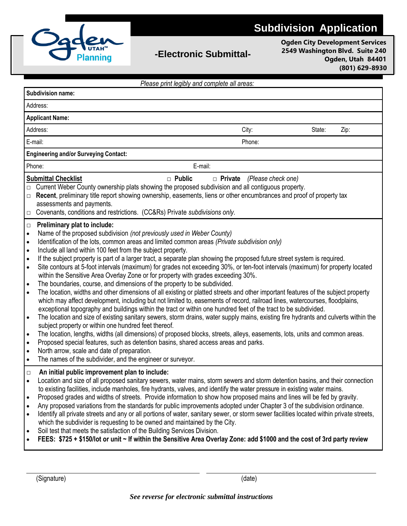

## **-Electronic Submittal-**

**Ogden City Development Services 2549 Washington Blvd. Suite 240 Ogden, Utah 84401 (801) 629-8930**

| Please print legibly and complete all areas:                                                                                                                                                                                                                                                                                                                                                                                                                                                                                                                                                                                                                                                                                                                                                                                                                                                                                                                                                                                                                                                                                                                                                                                                                                                                                                                                                                                                                                                                                                                                                                                                                                                                                                                                                          |        |        |      |
|-------------------------------------------------------------------------------------------------------------------------------------------------------------------------------------------------------------------------------------------------------------------------------------------------------------------------------------------------------------------------------------------------------------------------------------------------------------------------------------------------------------------------------------------------------------------------------------------------------------------------------------------------------------------------------------------------------------------------------------------------------------------------------------------------------------------------------------------------------------------------------------------------------------------------------------------------------------------------------------------------------------------------------------------------------------------------------------------------------------------------------------------------------------------------------------------------------------------------------------------------------------------------------------------------------------------------------------------------------------------------------------------------------------------------------------------------------------------------------------------------------------------------------------------------------------------------------------------------------------------------------------------------------------------------------------------------------------------------------------------------------------------------------------------------------|--------|--------|------|
| <b>Subdivision name:</b>                                                                                                                                                                                                                                                                                                                                                                                                                                                                                                                                                                                                                                                                                                                                                                                                                                                                                                                                                                                                                                                                                                                                                                                                                                                                                                                                                                                                                                                                                                                                                                                                                                                                                                                                                                              |        |        |      |
| Address:                                                                                                                                                                                                                                                                                                                                                                                                                                                                                                                                                                                                                                                                                                                                                                                                                                                                                                                                                                                                                                                                                                                                                                                                                                                                                                                                                                                                                                                                                                                                                                                                                                                                                                                                                                                              |        |        |      |
| <b>Applicant Name:</b>                                                                                                                                                                                                                                                                                                                                                                                                                                                                                                                                                                                                                                                                                                                                                                                                                                                                                                                                                                                                                                                                                                                                                                                                                                                                                                                                                                                                                                                                                                                                                                                                                                                                                                                                                                                |        |        |      |
| Address:                                                                                                                                                                                                                                                                                                                                                                                                                                                                                                                                                                                                                                                                                                                                                                                                                                                                                                                                                                                                                                                                                                                                                                                                                                                                                                                                                                                                                                                                                                                                                                                                                                                                                                                                                                                              | City:  | State: | Zip: |
| E-mail:                                                                                                                                                                                                                                                                                                                                                                                                                                                                                                                                                                                                                                                                                                                                                                                                                                                                                                                                                                                                                                                                                                                                                                                                                                                                                                                                                                                                                                                                                                                                                                                                                                                                                                                                                                                               | Phone: |        |      |
| <b>Engineering and/or Surveying Contact:</b>                                                                                                                                                                                                                                                                                                                                                                                                                                                                                                                                                                                                                                                                                                                                                                                                                                                                                                                                                                                                                                                                                                                                                                                                                                                                                                                                                                                                                                                                                                                                                                                                                                                                                                                                                          |        |        |      |
| Phone:<br>E-mail:                                                                                                                                                                                                                                                                                                                                                                                                                                                                                                                                                                                                                                                                                                                                                                                                                                                                                                                                                                                                                                                                                                                                                                                                                                                                                                                                                                                                                                                                                                                                                                                                                                                                                                                                                                                     |        |        |      |
| $\Box$ Public<br><b>Submittal Checklist</b><br>$\Box$ Private<br>(Please check one)<br>Current Weber County ownership plats showing the proposed subdivision and all contiguous property.<br>Recent, preliminary title report showing ownership, easements, liens or other encumbrances and proof of property tax<br>$\Box$<br>assessments and payments.<br>Covenants, conditions and restrictions. (CC&Rs) Private subdivisions only.<br>$\Box$                                                                                                                                                                                                                                                                                                                                                                                                                                                                                                                                                                                                                                                                                                                                                                                                                                                                                                                                                                                                                                                                                                                                                                                                                                                                                                                                                      |        |        |      |
| Preliminary plat to include:<br>$\Box$<br>Name of the proposed subdivision (not previously used in Weber County)<br>$\bullet$<br>Identification of the lots, common areas and limited common areas (Private subdivision only)<br>$\bullet$<br>Include all land within 100 feet from the subject property.<br>$\bullet$<br>If the subject property is part of a larger tract, a separate plan showing the proposed future street system is required.<br>$\bullet$<br>Site contours at 5-foot intervals (maximum) for grades not exceeding 30%, or ten-foot intervals (maximum) for property located<br>$\bullet$<br>within the Sensitive Area Overlay Zone or for property with grades exceeding 30%.<br>The boundaries, course, and dimensions of the property to be subdivided.<br>$\bullet$<br>The location, widths and other dimensions of all existing or platted streets and other important features of the subject property<br>$\bullet$<br>which may affect development, including but not limited to, easements of record, railroad lines, watercourses, floodplains,<br>exceptional topography and buildings within the tract or within one hundred feet of the tract to be subdivided.<br>The location and size of existing sanitary sewers, storm drains, water supply mains, existing fire hydrants and culverts within the<br>$\bullet$<br>subject property or within one hundred feet thereof.<br>The location, lengths, widths (all dimensions) of proposed blocks, streets, alleys, easements, lots, units and common areas.<br>$\bullet$<br>Proposed special features, such as detention basins, shared access areas and parks.<br>$\bullet$<br>North arrow, scale and date of preparation.<br>$\bullet$<br>The names of the subdivider, and the engineer or surveyor.<br>$\bullet$ |        |        |      |
| An initial public improvement plan to include:<br>$\Box$<br>Location and size of all proposed sanitary sewers, water mains, storm sewers and storm detention basins, and their connection<br>$\bullet$<br>to existing facilities, include manholes, fire hydrants, valves, and identify the water pressure in existing water mains.<br>Proposed grades and widths of streets. Provide information to show how proposed mains and lines will be fed by gravity.<br>$\bullet$<br>Any proposed variations from the standards for public improvements adopted under Chapter 3 of the subdivision ordinance.<br>$\bullet$<br>Identify all private streets and any or all portions of water, sanitary sewer, or storm sewer facilities located within private streets,<br>$\bullet$<br>which the subdivider is requesting to be owned and maintained by the City.<br>Soil test that meets the satisfaction of the Building Services Division.<br>$\bullet$<br>FEES: \$725 + \$150/lot or unit ~ If within the Sensitive Area Overlay Zone: add \$1000 and the cost of 3rd party review<br>$\bullet$                                                                                                                                                                                                                                                                                                                                                                                                                                                                                                                                                                                                                                                                                                         |        |        |      |